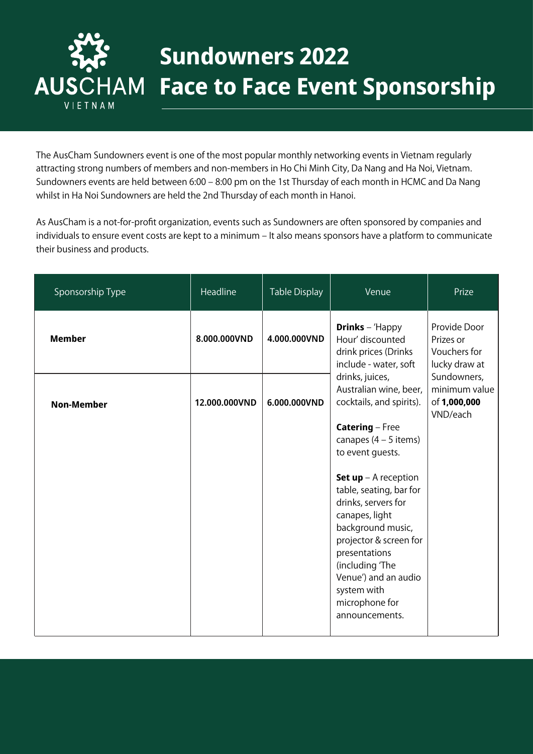

## **Sundowners 2022 Face to Face Event Sponsorship**

The AusCham Sundowners event is one of the most popular monthly networking events in Vietnam regularly attracting strong numbers of members and non-members in Ho Chi Minh City, Da Nang and Ha Noi, Vietnam. Sundowners events are held between 6:00 – 8:00 pm on the 1st Thursday of each month in HCMC and Da Nang whilst in Ha Noi Sundowners are held the 2nd Thursday of each month in Hanoi.

As AusCham is a not-for-profit organization, events such as Sundowners are often sponsored by companies and individuals to ensure event costs are kept to a minimum - It also means sponsors have a platform to communicate their business and products.

| Sponsorship Type  | Headline      | Table Display | Venue                                                                                                                                                                                                                                                           | Prize                                                      |
|-------------------|---------------|---------------|-----------------------------------------------------------------------------------------------------------------------------------------------------------------------------------------------------------------------------------------------------------------|------------------------------------------------------------|
| <b>Member</b>     | 8.000.000VND  | 4.000.000VND  | <b>Drinks</b> - 'Happy<br>Hour' discounted<br>drink prices (Drinks<br>include - water, soft                                                                                                                                                                     | Provide Door<br>Prizes or<br>Vouchers for<br>lucky draw at |
| <b>Non-Member</b> | 12.000.000VND | 6.000.000VND  | drinks, juices,<br>Australian wine, beer,<br>cocktails, and spirits).<br><b>Catering - Free</b><br>canapes $(4 - 5$ items)<br>to event guests.                                                                                                                  | Sundowners,<br>minimum value<br>of 1,000,000<br>VND/each   |
|                   |               |               | <b>Set up</b> $-$ A reception<br>table, seating, bar for<br>drinks, servers for<br>canapes, light<br>background music,<br>projector & screen for<br>presentations<br>(including 'The<br>Venue') and an audio<br>system with<br>microphone for<br>announcements. |                                                            |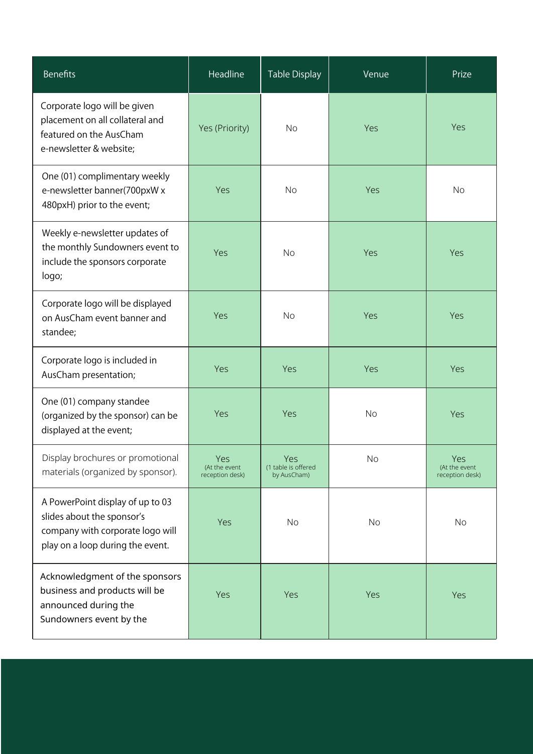| <b>Benefits</b>                                                                                                                        | Headline                                | Table Display                             | Venue     | Prize                                   |
|----------------------------------------------------------------------------------------------------------------------------------------|-----------------------------------------|-------------------------------------------|-----------|-----------------------------------------|
| Corporate logo will be given<br>placement on all collateral and<br>featured on the AusCham<br>e-newsletter & website;                  | Yes (Priority)                          | <b>No</b>                                 | Yes       | Yes                                     |
| One (01) complimentary weekly<br>e-newsletter banner(700pxW x<br>480pxH) prior to the event;                                           | Yes                                     | <b>No</b>                                 | Yes       | <b>No</b>                               |
| Weekly e-newsletter updates of<br>the monthly Sundowners event to<br>include the sponsors corporate<br>logo;                           | Yes                                     | <b>No</b>                                 | Yes       | Yes                                     |
| Corporate logo will be displayed<br>on AusCham event banner and<br>standee;                                                            | Yes                                     | <b>No</b>                                 | Yes       | Yes                                     |
| Corporate logo is included in<br>AusCham presentation;                                                                                 | Yes                                     | Yes                                       | Yes       | Yes                                     |
| One (01) company standee<br>(organized by the sponsor) can be<br>displayed at the event;                                               | Yes                                     | Yes                                       | <b>No</b> | <b>Yes</b>                              |
| Display brochures or promotional<br>materials (organized by sponsor).                                                                  | Yes<br>(At the event<br>reception desk) | Yes<br>(1 table is offered<br>by AusCham) | No        | Yes<br>(At the event<br>reception desk) |
| A PowerPoint display of up to 03<br>slides about the sponsor's<br>company with corporate logo will<br>play on a loop during the event. | Yes                                     | <b>No</b>                                 | <b>No</b> | No                                      |
| Acknowledgment of the sponsors<br>business and products will be<br>announced during the<br>Sundowners event by the                     | Yes                                     | Yes                                       | Yes       | Yes                                     |